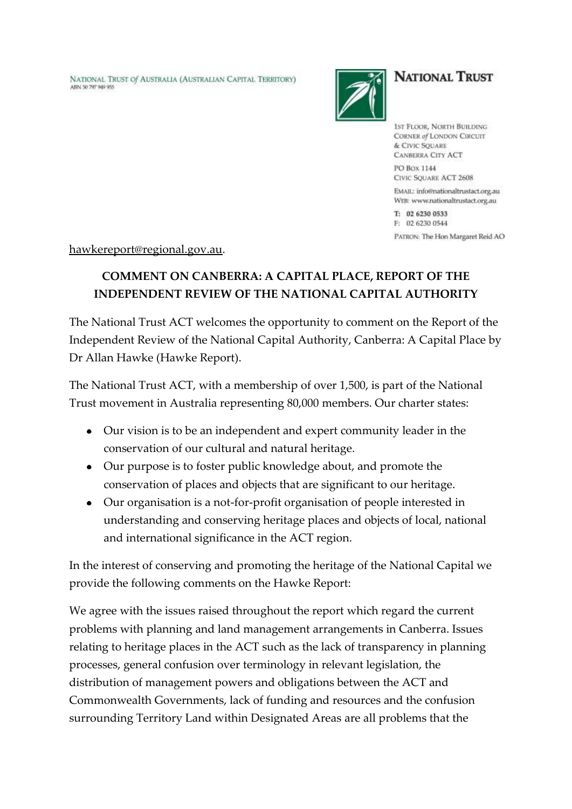NATIONAL TRUST Of AUSTRALIA (AUSTRALIAN CAPITAL TERRITORY) ARN 50 797 949 955



## **NATIONAL TRUST**

**15T FLOOR, NORTH BUILDING** CORNER of LONDON CIRCUIT & CIVIC SQUARE **CANBERRA CITY ACT** PO Box 1144 CIVIC SQUARE ACT 2608

EMAIL: info@nationaltrustact.org.au WEB: www.nationaltrustact.org.au

T: 02 6230 0533 F: 02 6230 0544 PATRON: The Hon Margaret Reid AO

[hawkereport@regional.gov.au.](mailto:hawkereport@regional.gov.au)

## **COMMENT ON CANBERRA: A CAPITAL PLACE, REPORT OF THE INDEPENDENT REVIEW OF THE NATIONAL CAPITAL AUTHORITY**

The National Trust ACT welcomes the opportunity to comment on the Report of the Independent Review of the National Capital Authority, Canberra: A Capital Place by Dr Allan Hawke (Hawke Report).

The National Trust ACT, with a membership of over 1,500, is part of the National Trust movement in Australia representing 80,000 members. Our charter states:

- Our vision is to be an independent and expert community leader in the conservation of our cultural and natural heritage.
- Our purpose is to foster public knowledge about, and promote the conservation of places and objects that are significant to our heritage.
- Our organisation is a not-for-profit organisation of people interested in understanding and conserving heritage places and objects of local, national and international significance in the ACT region.

In the interest of conserving and promoting the heritage of the National Capital we provide the following comments on the Hawke Report:

We agree with the issues raised throughout the report which regard the current problems with planning and land management arrangements in Canberra. Issues relating to heritage places in the ACT such as the lack of transparency in planning processes, general confusion over terminology in relevant legislation, the distribution of management powers and obligations between the ACT and Commonwealth Governments, lack of funding and resources and the confusion surrounding Territory Land within Designated Areas are all problems that the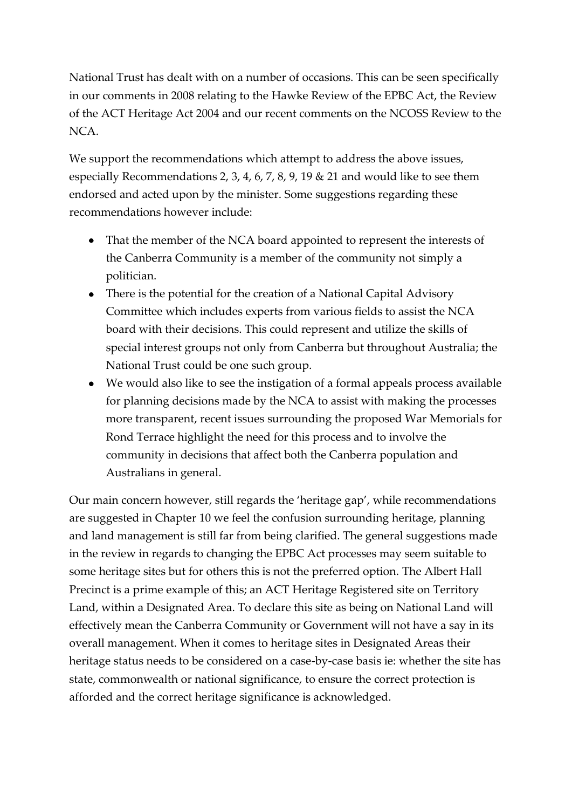National Trust has dealt with on a number of occasions. This can be seen specifically in our comments in 2008 relating to the Hawke Review of the EPBC Act, the Review of the ACT Heritage Act 2004 and our recent comments on the NCOSS Review to the NCA.

We support the recommendations which attempt to address the above issues, especially Recommendations 2, 3, 4, 6, 7, 8, 9, 19 & 21 and would like to see them endorsed and acted upon by the minister. Some suggestions regarding these recommendations however include:

- That the member of the NCA board appointed to represent the interests of the Canberra Community is a member of the community not simply a politician.
- There is the potential for the creation of a National Capital Advisory Committee which includes experts from various fields to assist the NCA board with their decisions. This could represent and utilize the skills of special interest groups not only from Canberra but throughout Australia; the National Trust could be one such group.
- We would also like to see the instigation of a formal appeals process available for planning decisions made by the NCA to assist with making the processes more transparent, recent issues surrounding the proposed War Memorials for Rond Terrace highlight the need for this process and to involve the community in decisions that affect both the Canberra population and Australians in general.

Our main concern however, still regards the 'heritage gap', while recommendations are suggested in Chapter 10 we feel the confusion surrounding heritage, planning and land management is still far from being clarified. The general suggestions made in the review in regards to changing the EPBC Act processes may seem suitable to some heritage sites but for others this is not the preferred option. The Albert Hall Precinct is a prime example of this; an ACT Heritage Registered site on Territory Land, within a Designated Area. To declare this site as being on National Land will effectively mean the Canberra Community or Government will not have a say in its overall management. When it comes to heritage sites in Designated Areas their heritage status needs to be considered on a case-by-case basis ie: whether the site has state, commonwealth or national significance, to ensure the correct protection is afforded and the correct heritage significance is acknowledged.